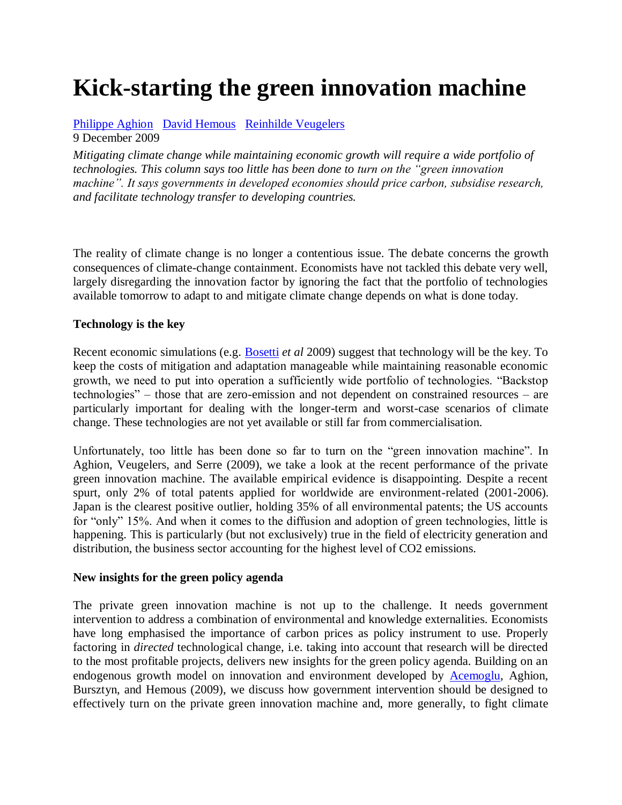# **Kick-starting the green innovation machine**

[Philippe Aghion](http://www.voxeu.org/index.php?q=node/46) [David Hemous](http://www.voxeu.org/index.php?q=node/4353) [Reinhilde Veugelers](http://www.voxeu.org/index.php?q=node/1699)

9 December 2009

*Mitigating climate change while maintaining economic growth will require a wide portfolio of technologies. This column says too little has been done to turn on the "green innovation machine". It says governments in developed economies should price carbon, subsidise research, and facilitate technology transfer to developing countries.*

The reality of climate change is no longer a contentious issue. The debate concerns the growth consequences of climate-change containment. Economists have not tackled this debate very well, largely disregarding the innovation factor by ignoring the fact that the portfolio of technologies available tomorrow to adapt to and mitigate climate change depends on what is done today.

## **Technology is the key**

Recent economic simulations (e.g. [Bosetti](http://www.voxeu.org/index.php?q=node/691) *et al* 2009) suggest that technology will be the key. To keep the costs of mitigation and adaptation manageable while maintaining reasonable economic growth, we need to put into operation a sufficiently wide portfolio of technologies. "Backstop technologies" – those that are zero-emission and not dependent on constrained resources – are particularly important for dealing with the longer-term and worst-case scenarios of climate change. These technologies are not yet available or still far from commercialisation.

Unfortunately, too little has been done so far to turn on the "green innovation machine". In Aghion, Veugelers, and Serre (2009), we take a look at the recent performance of the private green innovation machine. The available empirical evidence is disappointing. Despite a recent spurt, only 2% of total patents applied for worldwide are environment-related (2001-2006). Japan is the clearest positive outlier, holding 35% of all environmental patents; the US accounts for "only" 15%. And when it comes to the diffusion and adoption of green technologies, little is happening. This is particularly (but not exclusively) true in the field of electricity generation and distribution, the business sector accounting for the highest level of CO2 emissions.

## **New insights for the green policy agenda**

The private green innovation machine is not up to the challenge. It needs government intervention to address a combination of environmental and knowledge externalities. Economists have long emphasised the importance of carbon prices as policy instrument to use. Properly factoring in *directed* technological change, i.e. taking into account that research will be directed to the most profitable projects, delivers new insights for the green policy agenda. Building on an endogenous growth model on innovation and environment developed by [Acemoglu,](http://www.voxeu.org/index.php?q=node/493) Aghion, Bursztyn, and Hemous (2009), we discuss how government intervention should be designed to effectively turn on the private green innovation machine and, more generally, to fight climate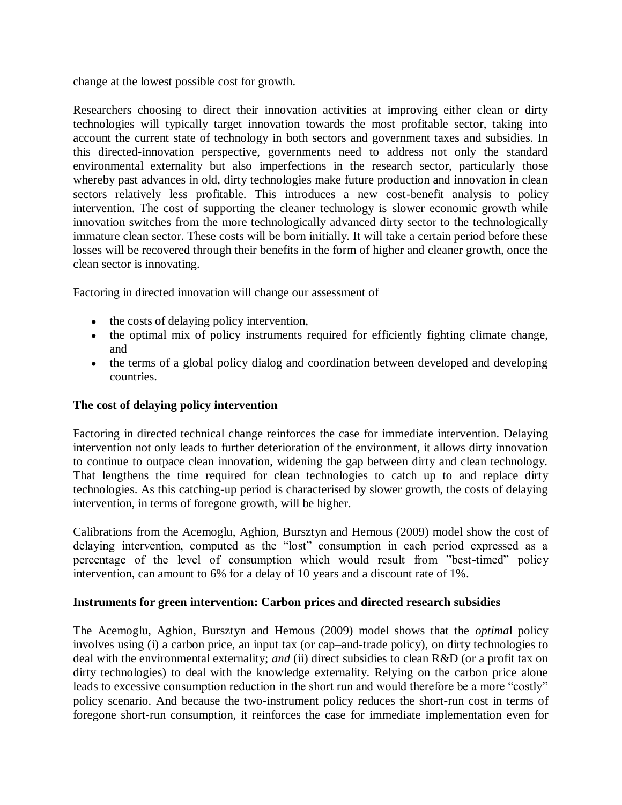change at the lowest possible cost for growth.

Researchers choosing to direct their innovation activities at improving either clean or dirty technologies will typically target innovation towards the most profitable sector, taking into account the current state of technology in both sectors and government taxes and subsidies. In this directed-innovation perspective, governments need to address not only the standard environmental externality but also imperfections in the research sector, particularly those whereby past advances in old, dirty technologies make future production and innovation in clean sectors relatively less profitable. This introduces a new cost-benefit analysis to policy intervention. The cost of supporting the cleaner technology is slower economic growth while innovation switches from the more technologically advanced dirty sector to the technologically immature clean sector. These costs will be born initially. It will take a certain period before these losses will be recovered through their benefits in the form of higher and cleaner growth, once the clean sector is innovating.

Factoring in directed innovation will change our assessment of

- the costs of delaying policy intervention,
- the optimal mix of policy instruments required for efficiently fighting climate change, and
- the terms of a global policy dialog and coordination between developed and developing countries.

## **The cost of delaying policy intervention**

Factoring in directed technical change reinforces the case for immediate intervention. Delaying intervention not only leads to further deterioration of the environment, it allows dirty innovation to continue to outpace clean innovation, widening the gap between dirty and clean technology. That lengthens the time required for clean technologies to catch up to and replace dirty technologies. As this catching-up period is characterised by slower growth, the costs of delaying intervention, in terms of foregone growth, will be higher.

Calibrations from the Acemoglu, Aghion, Bursztyn and Hemous (2009) model show the cost of delaying intervention, computed as the "lost" consumption in each period expressed as a percentage of the level of consumption which would result from "best-timed" policy intervention, can amount to 6% for a delay of 10 years and a discount rate of 1%.

### **Instruments for green intervention: Carbon prices and directed research subsidies**

The Acemoglu, Aghion, Bursztyn and Hemous (2009) model shows that the *optima*l policy involves using (i) a carbon price, an input tax (or cap–and-trade policy), on dirty technologies to deal with the environmental externality; *and* (ii) direct subsidies to clean R&D (or a profit tax on dirty technologies) to deal with the knowledge externality. Relying on the carbon price alone leads to excessive consumption reduction in the short run and would therefore be a more "costly" policy scenario. And because the two-instrument policy reduces the short-run cost in terms of foregone short-run consumption, it reinforces the case for immediate implementation even for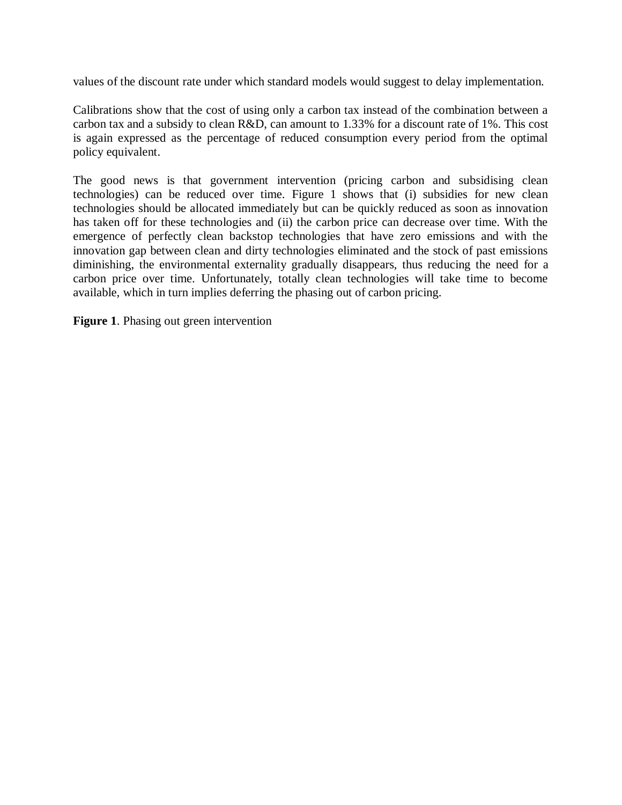values of the discount rate under which standard models would suggest to delay implementation.

Calibrations show that the cost of using only a carbon tax instead of the combination between a carbon tax and a subsidy to clean R&D, can amount to 1.33% for a discount rate of 1%. This cost is again expressed as the percentage of reduced consumption every period from the optimal policy equivalent.

The good news is that government intervention (pricing carbon and subsidising clean technologies) can be reduced over time. Figure 1 shows that (i) subsidies for new clean technologies should be allocated immediately but can be quickly reduced as soon as innovation has taken off for these technologies and (ii) the carbon price can decrease over time. With the emergence of perfectly clean backstop technologies that have zero emissions and with the innovation gap between clean and dirty technologies eliminated and the stock of past emissions diminishing, the environmental externality gradually disappears, thus reducing the need for a carbon price over time. Unfortunately, totally clean technologies will take time to become available, which in turn implies deferring the phasing out of carbon pricing.

**Figure 1**. Phasing out green intervention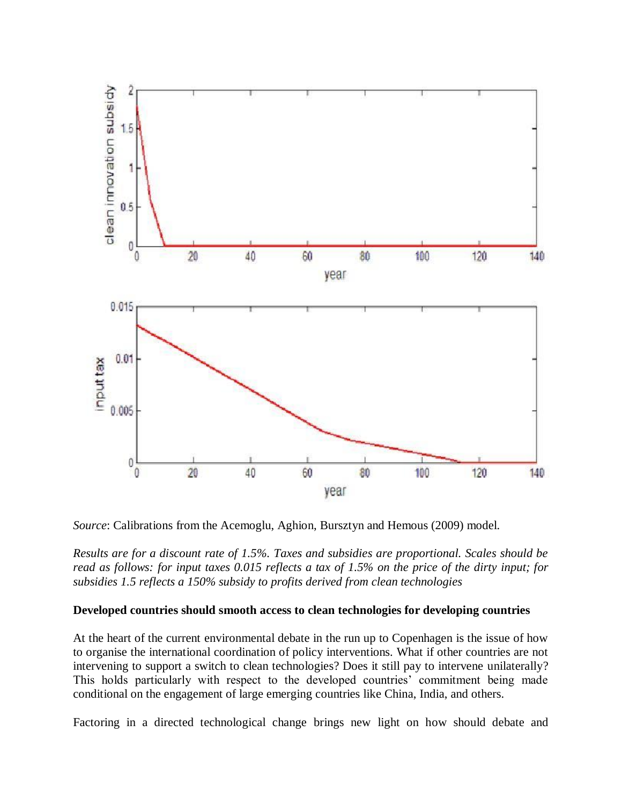

*Source*: Calibrations from the Acemoglu, Aghion, Bursztyn and Hemous (2009) model.

*Results are for a discount rate of 1.5%. Taxes and subsidies are proportional. Scales should be read as follows: for input taxes 0.015 reflects a tax of 1.5% on the price of the dirty input; for subsidies 1.5 reflects a 150% subsidy to profits derived from clean technologies*

#### **Developed countries should smooth access to clean technologies for developing countries**

At the heart of the current environmental debate in the run up to Copenhagen is the issue of how to organise the international coordination of policy interventions. What if other countries are not intervening to support a switch to clean technologies? Does it still pay to intervene unilaterally? This holds particularly with respect to the developed countries' commitment being made conditional on the engagement of large emerging countries like China, India, and others.

Factoring in a directed technological change brings new light on how should debate and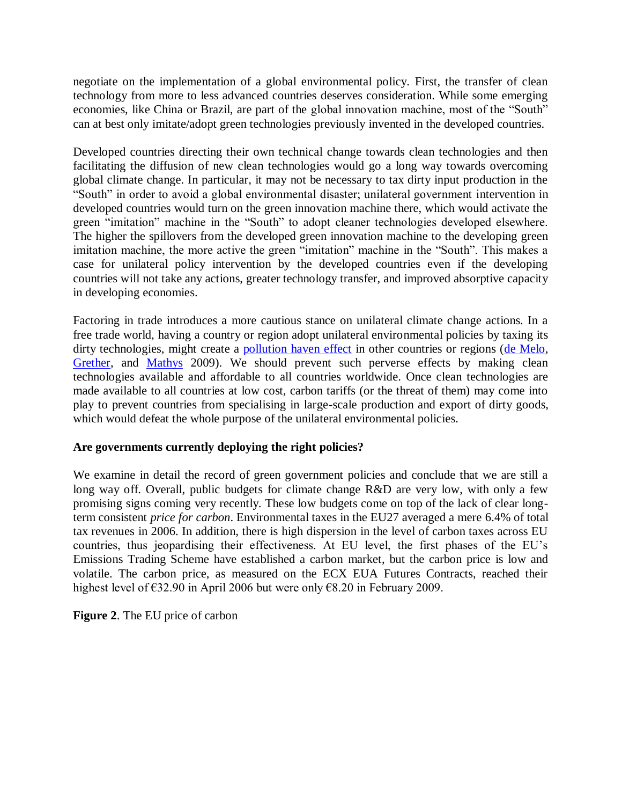negotiate on the implementation of a global environmental policy. First, the transfer of clean technology from more to less advanced countries deserves consideration. While some emerging economies, like China or Brazil, are part of the global innovation machine, most of the "South" can at best only imitate/adopt green technologies previously invented in the developed countries.

Developed countries directing their own technical change towards clean technologies and then facilitating the diffusion of new clean technologies would go a long way towards overcoming global climate change. In particular, it may not be necessary to tax dirty input production in the "South" in order to avoid a global environmental disaster; unilateral government intervention in developed countries would turn on the green innovation machine there, which would activate the green "imitation" machine in the "South" to adopt cleaner technologies developed elsewhere. The higher the spillovers from the developed green innovation machine to the developing green imitation machine, the more active the green "imitation" machine in the "South". This makes a case for unilateral policy intervention by the developed countries even if the developing countries will not take any actions, greater technology transfer, and improved absorptive capacity in developing economies.

Factoring in trade introduces a more cautious stance on unilateral climate change actions. In a free trade world, having a country or region adopt unilateral environmental policies by taxing its dirty technologies, might create a [pollution haven effect](http://www.voxeu.org/index.php?q=node/4308) in other countries or regions [\(de Melo,](http://www.voxeu.org/index.php?q=node/4153) [Grether,](http://www.voxeu.org/index.php?q=node/4218) and [Mathys](http://www.voxeu.org/index.php?q=node/4219) 2009). We should prevent such perverse effects by making clean technologies available and affordable to all countries worldwide. Once clean technologies are made available to all countries at low cost, carbon tariffs (or the threat of them) may come into play to prevent countries from specialising in large-scale production and export of dirty goods, which would defeat the whole purpose of the unilateral environmental policies.

### **Are governments currently deploying the right policies?**

We examine in detail the record of green government policies and conclude that we are still a long way off. Overall, public budgets for climate change R&D are very low, with only a few promising signs coming very recently. These low budgets come on top of the lack of clear longterm consistent *price for carbon*. Environmental taxes in the EU27 averaged a mere 6.4% of total tax revenues in 2006. In addition, there is high dispersion in the level of carbon taxes across EU countries, thus jeopardising their effectiveness. At EU level, the first phases of the EU's Emissions Trading Scheme have established a carbon market, but the carbon price is low and volatile. The carbon price, as measured on the ECX EUA Futures Contracts, reached their highest level of €32.90 in April 2006 but were only €8.20 in February 2009.

**Figure 2**. The EU price of carbon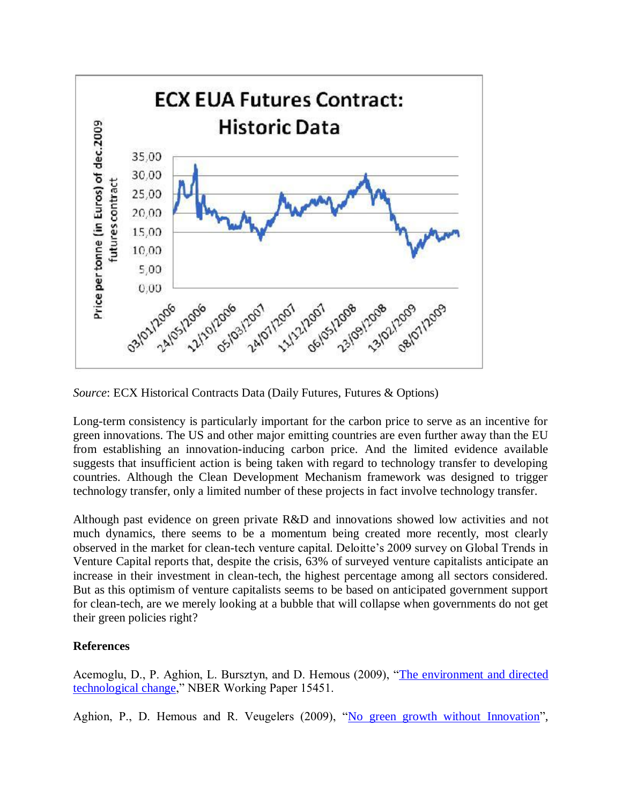

*Source*: ECX Historical Contracts Data (Daily Futures, Futures & Options)

Long-term consistency is particularly important for the carbon price to serve as an incentive for green innovations. The US and other major emitting countries are even further away than the EU from establishing an innovation-inducing carbon price. And the limited evidence available suggests that insufficient action is being taken with regard to technology transfer to developing countries. Although the Clean Development Mechanism framework was designed to trigger technology transfer, only a limited number of these projects in fact involve technology transfer.

Although past evidence on green private R&D and innovations showed low activities and not much dynamics, there seems to be a momentum being created more recently, most clearly observed in the market for clean-tech venture capital. Deloitte's 2009 survey on Global Trends in Venture Capital reports that, despite the crisis, 63% of surveyed venture capitalists anticipate an increase in their investment in clean-tech, the highest percentage among all sectors considered. But as this optimism of venture capitalists seems to be based on anticipated government support for clean-tech, are we merely looking at a bubble that will collapse when governments do not get their green policies right?

## **References**

Acemoglu, D., P. Aghion, L. Bursztyn, and D. Hemous (2009), ["The environment and directed](http://www.nber.org/papers/w15451)  [technological change,](http://www.nber.org/papers/w15451)" NBER Working Paper 15451.

Aghion, P., D. Hemous and R. Veugelers (2009), ["No green growth without Innovation"](http://www.bruegel.org/nc/publications/show/publication/no-green-growth-without-innovation.html),